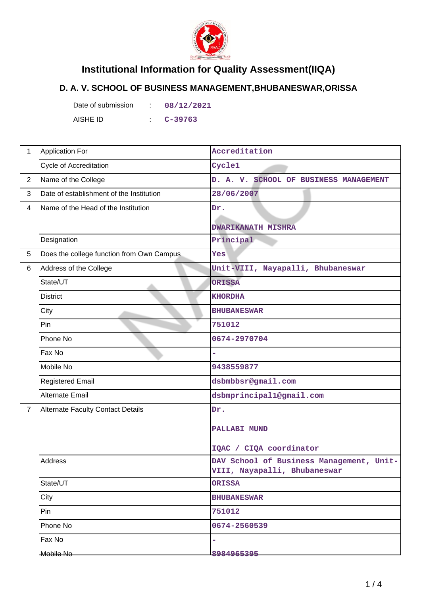

## **Institutional Information for Quality Assessment(IIQA)**

## **D. A. V. SCHOOL OF BUSINESS MANAGEMENT,BHUBANESWAR,ORISSA**

Date of submission : 08/12/2021 AISHE ID : **C-39763**

| 1              | <b>Application For</b>                    | Accreditation                                                            |
|----------------|-------------------------------------------|--------------------------------------------------------------------------|
|                | <b>Cycle of Accreditation</b>             | Cycle1                                                                   |
| $\overline{2}$ | Name of the College                       | D. A. V. SCHOOL OF BUSINESS MANAGEMENT                                   |
| 3              | Date of establishment of the Institution  | 28/06/2007                                                               |
| 4              | Name of the Head of the Institution       | Dr.                                                                      |
|                |                                           | <b>DWARIKANATH MISHRA</b>                                                |
|                | Designation                               | Principal                                                                |
| 5              | Does the college function from Own Campus | Yes                                                                      |
| 6              | Address of the College                    | Unit-VIII, Nayapalli, Bhubaneswar                                        |
|                | State/UT                                  | <b>ORISSA</b>                                                            |
|                | <b>District</b>                           | <b>KHORDHA</b>                                                           |
|                | City                                      | <b>BHUBANESWAR</b>                                                       |
|                | Pin                                       | 751012                                                                   |
|                | Phone No                                  | 0674-2970704                                                             |
|                | Fax No                                    |                                                                          |
|                | Mobile No                                 | 9438559877                                                               |
|                | <b>Registered Email</b>                   | dsbmbbsr@gmail.com                                                       |
|                | Alternate Email                           | dsbmprincipal1@gmail.com                                                 |
| $\overline{7}$ | <b>Alternate Faculty Contact Details</b>  | Dr.                                                                      |
|                |                                           | <b>PALLABI MUND</b>                                                      |
|                |                                           |                                                                          |
|                |                                           | IQAC / CIQA coordinator                                                  |
|                | Address                                   | DAV School of Business Management, Unit-<br>VIII, Nayapalli, Bhubaneswar |
|                | State/UT                                  | <b>ORISSA</b>                                                            |
|                | City                                      | <b>BHUBANESWAR</b>                                                       |
|                | Pin                                       | 751012                                                                   |
|                | Phone No                                  | 0674-2560539                                                             |
|                | Fax No                                    | L.                                                                       |
|                | Mobile No                                 | 8984965395                                                               |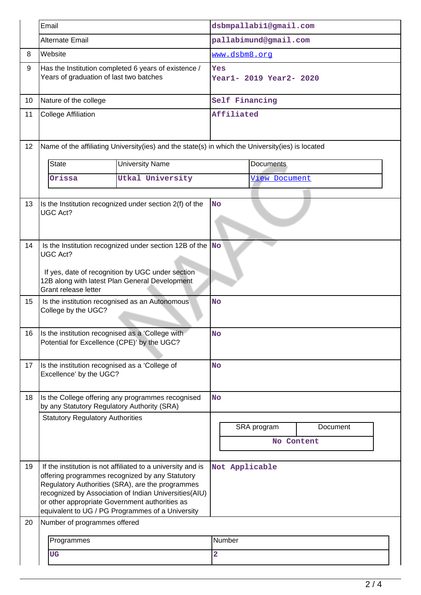|    | Email                                                                                            |                                                                                                                                                                                                                                                                                 | dsbmpallabi1@gmail.com         |                                       |  |  |
|----|--------------------------------------------------------------------------------------------------|---------------------------------------------------------------------------------------------------------------------------------------------------------------------------------------------------------------------------------------------------------------------------------|--------------------------------|---------------------------------------|--|--|
|    | Alternate Email                                                                                  |                                                                                                                                                                                                                                                                                 | pallabimund@gmail.com          |                                       |  |  |
| 8  | Website                                                                                          |                                                                                                                                                                                                                                                                                 | www.dsbm8.org                  |                                       |  |  |
| 9  | Has the Institution completed 6 years of existence /<br>Years of graduation of last two batches  |                                                                                                                                                                                                                                                                                 | Yes<br>Year1- 2019 Year2- 2020 |                                       |  |  |
| 10 | Nature of the college                                                                            |                                                                                                                                                                                                                                                                                 | Self Financing                 |                                       |  |  |
| 11 | <b>College Affiliation</b>                                                                       |                                                                                                                                                                                                                                                                                 | Affiliated                     |                                       |  |  |
| 12 |                                                                                                  | Name of the affiliating University(ies) and the state(s) in which the University(ies) is located                                                                                                                                                                                |                                |                                       |  |  |
|    | <b>State</b>                                                                                     | <b>University Name</b>                                                                                                                                                                                                                                                          | <b>Documents</b>               |                                       |  |  |
|    | Orissa                                                                                           | Utkal University                                                                                                                                                                                                                                                                | View Document                  |                                       |  |  |
|    |                                                                                                  |                                                                                                                                                                                                                                                                                 |                                |                                       |  |  |
| 13 | UGC Act?                                                                                         | Is the Institution recognized under section 2(f) of the                                                                                                                                                                                                                         | <b>No</b>                      |                                       |  |  |
| 14 | <b>UGC Act?</b><br>Grant release letter                                                          | Is the Institution recognized under section 12B of the $\sqrt{\ }$ No<br>If yes, date of recognition by UGC under section<br>12B along with latest Plan General Development                                                                                                     |                                |                                       |  |  |
| 15 | College by the UGC?                                                                              | Is the institution recognised as an Autonomous                                                                                                                                                                                                                                  | <b>No</b>                      |                                       |  |  |
| 16 | Is the institution recognised as a 'College with<br>Potential for Excellence (CPE)' by the UGC?  |                                                                                                                                                                                                                                                                                 | No                             |                                       |  |  |
| 17 | Is the institution recognised as a 'College of<br>Excellence' by the UGC?                        |                                                                                                                                                                                                                                                                                 | <b>No</b>                      |                                       |  |  |
| 18 | Is the College offering any programmes recognised<br>by any Statutory Regulatory Authority (SRA) |                                                                                                                                                                                                                                                                                 | <b>No</b>                      |                                       |  |  |
|    | <b>Statutory Regulatory Authorities</b>                                                          |                                                                                                                                                                                                                                                                                 |                                | SRA program<br>Document<br>No Content |  |  |
| 19 | or other appropriate Government authorities as                                                   | If the institution is not affiliated to a university and is<br>offering programmes recognized by any Statutory<br>Regulatory Authorities (SRA), are the programmes<br>recognized by Association of Indian Universities(AIU)<br>equivalent to UG / PG Programmes of a University | Not Applicable                 |                                       |  |  |
| 20 | Number of programmes offered                                                                     |                                                                                                                                                                                                                                                                                 |                                |                                       |  |  |
|    | Programmes                                                                                       |                                                                                                                                                                                                                                                                                 | Number                         |                                       |  |  |
|    | <b>UG</b>                                                                                        |                                                                                                                                                                                                                                                                                 | $\overline{\mathbf{2}}$        |                                       |  |  |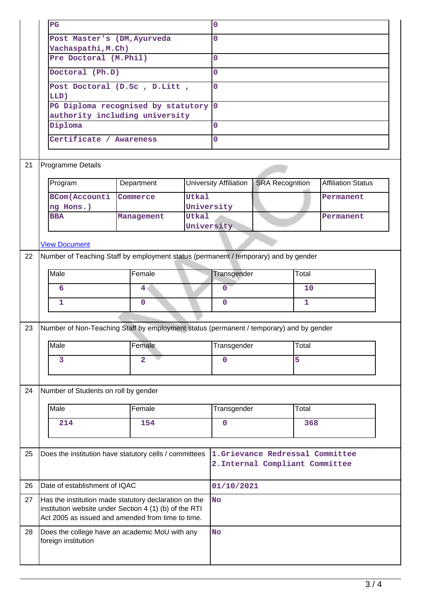|    | $_{\rm PG}$                                                                                                                                                          |                                    |                                                                    | 0                      |                        |       |                           |
|----|----------------------------------------------------------------------------------------------------------------------------------------------------------------------|------------------------------------|--------------------------------------------------------------------|------------------------|------------------------|-------|---------------------------|
|    | Post Master's (DM, Ayurveda                                                                                                                                          |                                    | 0                                                                  |                        |                        |       |                           |
|    | Vachaspathi, M.Ch)                                                                                                                                                   |                                    |                                                                    |                        |                        |       |                           |
|    | Pre Doctoral (M.Phil)                                                                                                                                                |                                    |                                                                    | 0                      |                        |       |                           |
|    | Doctoral (Ph.D)                                                                                                                                                      |                                    |                                                                    | 0                      |                        |       |                           |
|    | LLD)                                                                                                                                                                 | Post Doctoral (D.Sc, D.Litt,       |                                                                    | 0                      |                        |       |                           |
|    |                                                                                                                                                                      | PG Diploma recognised by statutory |                                                                    | $\overline{0}$         |                        |       |                           |
|    | Diploma                                                                                                                                                              | authority including university     |                                                                    | 0                      |                        |       |                           |
|    |                                                                                                                                                                      |                                    |                                                                    | 0                      |                        |       |                           |
|    | Certificate / Awareness                                                                                                                                              |                                    |                                                                    |                        |                        |       |                           |
| 21 | <b>Programme Details</b>                                                                                                                                             |                                    |                                                                    |                        |                        |       |                           |
|    | Program                                                                                                                                                              | Department                         |                                                                    | University Affiliation | <b>SRA Recognition</b> |       | <b>Affiliation Status</b> |
|    | <b>BCom</b> (Accounti<br>ng Hons.)                                                                                                                                   | Commerce                           | <b>Utkal</b>                                                       | University             |                        |       | Permanent                 |
|    | <b>BBA</b>                                                                                                                                                           | Management                         | <b>Utkal</b>                                                       | University             |                        |       | Permanent                 |
|    |                                                                                                                                                                      |                                    |                                                                    |                        |                        |       |                           |
| 22 | <b>View Document</b>                                                                                                                                                 |                                    |                                                                    |                        |                        |       |                           |
|    | Number of Teaching Staff by employment status (permanent / temporary) and by gender                                                                                  |                                    |                                                                    |                        |                        |       |                           |
|    | Male                                                                                                                                                                 | Female                             |                                                                    | Transgender            |                        | Total |                           |
|    | 6                                                                                                                                                                    | 4                                  |                                                                    | $\mathbf 0$            |                        | 10    |                           |
|    | 1                                                                                                                                                                    | $\mathbf 0$                        |                                                                    | $\mathbf 0$            |                        | 1     |                           |
|    |                                                                                                                                                                      |                                    |                                                                    |                        |                        |       |                           |
| 23 | Number of Non-Teaching Staff by employment status (permanent / temporary) and by gender                                                                              |                                    |                                                                    |                        |                        |       |                           |
|    | Male                                                                                                                                                                 | Female                             |                                                                    | Transgender            |                        | Total |                           |
|    | 3                                                                                                                                                                    | $\overline{\mathbf{2}}$            |                                                                    | $\mathbf 0$            |                        | 5     |                           |
|    |                                                                                                                                                                      |                                    |                                                                    |                        |                        |       |                           |
| 24 | Number of Students on roll by gender                                                                                                                                 |                                    |                                                                    |                        |                        |       |                           |
|    | Male                                                                                                                                                                 | Female                             |                                                                    | Transgender            |                        | Total |                           |
|    | 214                                                                                                                                                                  | 154                                |                                                                    | $\mathbf 0$            |                        | 368   |                           |
|    |                                                                                                                                                                      |                                    |                                                                    |                        |                        |       |                           |
| 25 | Does the institution have statutory cells / committees                                                                                                               |                                    | 1.Grievance Redressal Committee<br>2. Internal Compliant Committee |                        |                        |       |                           |
| 26 | Date of establishment of IQAC                                                                                                                                        |                                    |                                                                    | 01/10/2021             |                        |       |                           |
| 27 | Has the institution made statutory declaration on the<br>institution website under Section 4 (1) (b) of the RTI<br>Act 2005 as issued and amended from time to time. |                                    | <b>No</b>                                                          |                        |                        |       |                           |
| 28 | Does the college have an academic MoU with any<br>foreign institution                                                                                                |                                    |                                                                    | <b>No</b>              |                        |       |                           |